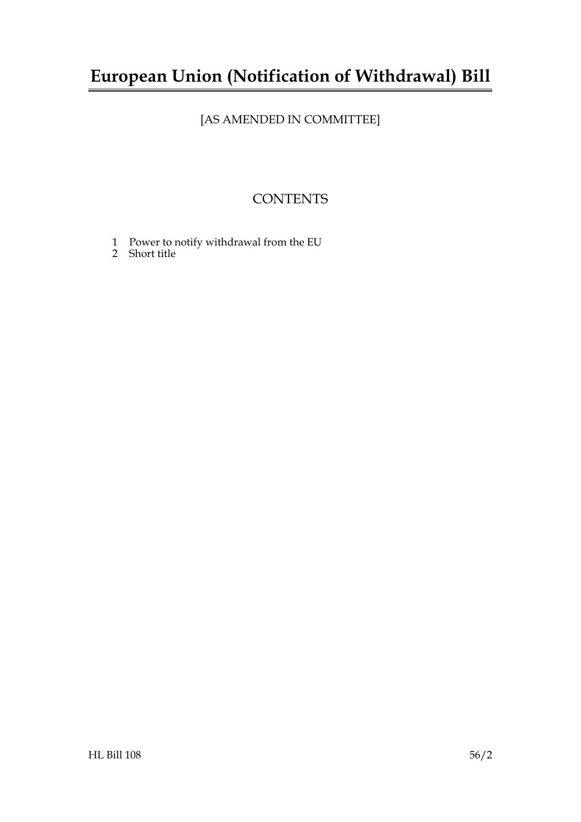## **European Union (Notification of Withdrawal) Bill**

### [AS AMENDED IN COMMITTEE]

### **CONTENTS**

- 1 Power to notify withdrawal from the EU
- 2 Short title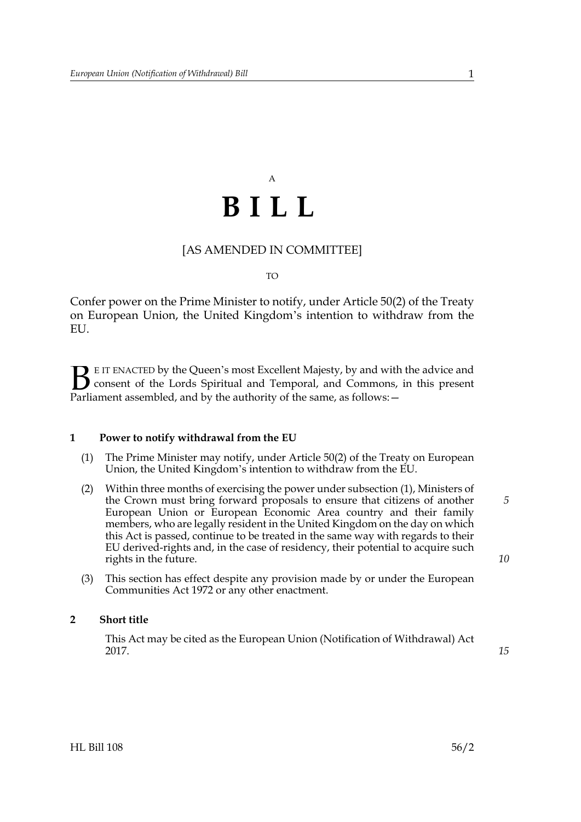# A **BILL**

#### [AS AMENDED IN COMMITTEE]

#### TO

Confer power on the Prime Minister to notify, under Article 50(2) of the Treaty on European Union, the United Kingdom's intention to withdraw from the EU.

E IT ENACTED by the Queen's most Excellent Majesty, by and with the advice and consent of the Lords Spiritual and Temporal, and Commons, in this present **P**EIT ENACTED by the Queen's most Excellent Majesty, by and with consent of the Lords Spiritual and Temporal, and Commons, Parliament assembled, and by the authority of the same, as follows:  $-$ 

#### **1 Power to notify withdrawal from the EU**

- (1) The Prime Minister may notify, under Article 50(2) of the Treaty on European Union, the United Kingdom's intention to withdraw from the EU.
- (2) Within three months of exercising the power under subsection (1), Ministers of the Crown must bring forward proposals to ensure that citizens of another European Union or European Economic Area country and their family members, who are legally resident in the United Kingdom on the day on which this Act is passed, continue to be treated in the same way with regards to their EU derived-rights and, in the case of residency, their potential to acquire such rights in the future.
- (3) This section has effect despite any provision made by or under the European Communities Act 1972 or any other enactment.

#### **2 Short title**

This Act may be cited as the European Union (Notification of Withdrawal) Act 2017.

*15*